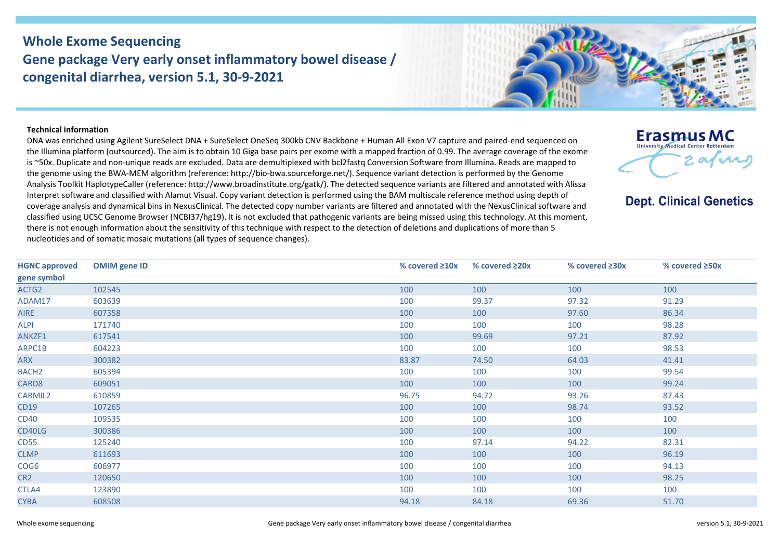## **Whole Exome Sequencing Gene package Very early onset inflammatory bowel disease / congenital diarrhea, version 5.1, 30-9-2021**



## **Technical information**

DNA was enriched using Agilent SureSelect DNA + SureSelect OneSeq 300kb CNV Backbone + Human All Exon V7 capture and paired-end sequenced on the Illumina platform (outsourced). The aim is to obtain 10 Giga base pairs per exome with a mapped fraction of 0.99. The average coverage of the exome is ~50x. Duplicate and non-unique reads are excluded. Data are demultiplexed with bcl2fastq Conversion Software from Illumina. Reads are mapped to the genome using the BWA-MEM algorithm (reference: http://bio-bwa.sourceforge.net/). Sequence variant detection is performed by the Genome Analysis Toolkit HaplotypeCaller (reference: http://www.broadinstitute.org/gatk/). The detected sequence variants are filtered and annotated with Alissa Interpret software and classified with Alamut Visual. Copy variant detection is performed using the BAM multiscale reference method using depth of coverage analysis and dynamical bins in NexusClinical. The detected copy number variants are filtered and annotated with the NexusClinical software and classified using UCSC Genome Browser (NCBI37/hg19). It is not excluded that pathogenic variants are being missed using this technology. At this moment, there is not enough information about the sensitivity of this technique with respect to the detection of deletions and duplications of more than 5 nucleotides and of somatic mosaic mutations (all types of sequence changes).



**Dept. Clinical Genetics** 

| <b>HGNC approved</b> | <b>OMIM</b> gene ID | % covered $\geq 10x$ | % covered $\geq 20x$ | % covered ≥30x | % covered ≥50x |
|----------------------|---------------------|----------------------|----------------------|----------------|----------------|
| gene symbol          |                     |                      |                      |                |                |
| ACTG2                | 102545              | 100                  | 100                  | 100            | 100            |
| ADAM17               | 603639              | 100                  | 99.37                | 97.32          | 91.29          |
| <b>AIRE</b>          | 607358              | 100                  | 100                  | 97.60          | 86.34          |
| <b>ALPI</b>          | 171740              | 100                  | 100                  | 100            | 98.28          |
| ANKZF1               | 617541              | 100                  | 99.69                | 97.21          | 87.92          |
| ARPC1B               | 604223              | 100                  | 100                  | 100            | 98.53          |
| <b>ARX</b>           | 300382              | 83.87                | 74.50                | 64.03          | 41.41          |
| BACH <sub>2</sub>    | 605394              | 100                  | 100                  | 100            | 99.54          |
| CARD8                | 609051              | 100                  | 100                  | 100            | 99.24          |
| CARMIL2              | 610859              | 96.75                | 94.72                | 93.26          | 87.43          |
| <b>CD19</b>          | 107265              | 100                  | 100                  | 98.74          | 93.52          |
| <b>CD40</b>          | 109535              | 100                  | 100                  | 100            | 100            |
| CD40LG               | 300386              | 100                  | 100                  | 100            | 100            |
| <b>CD55</b>          | 125240              | 100                  | 97.14                | 94.22          | 82.31          |
| <b>CLMP</b>          | 611693              | 100                  | 100                  | 100            | 96.19          |
| COG6                 | 606977              | 100                  | 100                  | 100            | 94.13          |
| CR <sub>2</sub>      | 120650              | 100                  | 100                  | 100            | 98.25          |
| CTLA4                | 123890              | 100                  | 100                  | 100            | 100            |
| <b>CYBA</b>          | 608508              | 94.18                | 84.18                | 69.36          | 51.70          |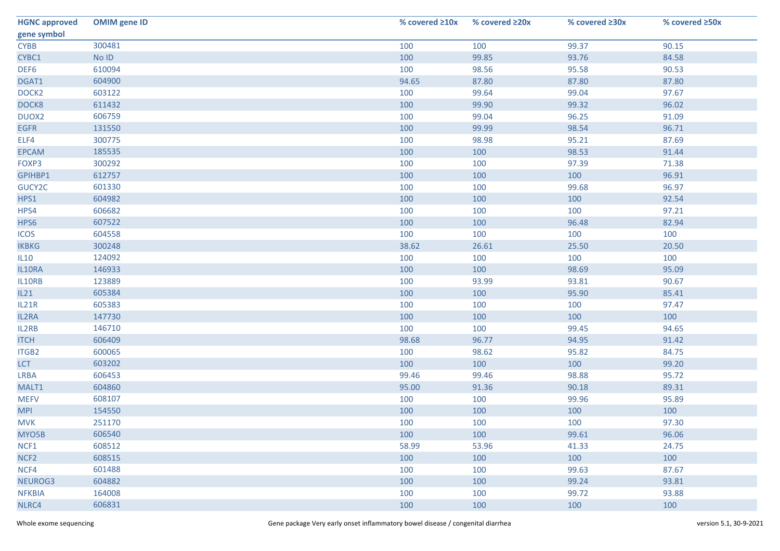| <b>HGNC approved</b> | <b>OMIM</b> gene ID | % covered ≥10x | % covered ≥20x | % covered ≥30x | % covered ≥50x |
|----------------------|---------------------|----------------|----------------|----------------|----------------|
| gene symbol          |                     |                |                |                |                |
| <b>CYBB</b>          | 300481              | 100            | 100            | 99.37          | 90.15          |
| CYBC1                | $No$ $ID$           | 100            | 99.85          | 93.76          | 84.58          |
| DEF6                 | 610094              | 100            | 98.56          | 95.58          | 90.53          |
| DGAT1                | 604900              | 94.65          | 87.80          | 87.80          | 87.80          |
| DOCK <sub>2</sub>    | 603122              | 100            | 99.64          | 99.04          | 97.67          |
| DOCK8                | 611432              | 100            | 99.90          | 99.32          | 96.02          |
| DUOX2                | 606759              | 100            | 99.04          | 96.25          | 91.09          |
| <b>EGFR</b>          | 131550              | 100            | 99.99          | 98.54          | 96.71          |
| ELF4                 | 300775              | 100            | 98.98          | 95.21          | 87.69          |
| <b>EPCAM</b>         | 185535              | 100            | 100            | 98.53          | 91.44          |
| FOXP3                | 300292              | 100            | 100            | 97.39          | 71.38          |
| GPIHBP1              | 612757              | 100            | 100            | 100            | 96.91          |
| GUCY2C               | 601330              | 100            | 100            | 99.68          | 96.97          |
| HPS1                 | 604982              | 100            | 100            | 100            | 92.54          |
| HPS4                 | 606682              | 100            | 100            | 100            | 97.21          |
| HPS6                 | 607522              | 100            | 100            | 96.48          | 82.94          |
| <b>ICOS</b>          | 604558              | 100            | 100            | 100            | 100            |
| <b>IKBKG</b>         | 300248              | 38.62          | 26.61          | 25.50          | 20.50          |
| IL10                 | 124092              | 100            | 100            | 100            | 100            |
| IL10RA               | 146933              | 100            | 100            | 98.69          | 95.09          |
| IL10RB               | 123889              | 100            | 93.99          | 93.81          | 90.67          |
| IL21                 | 605384              | 100            | 100            | 95.90          | 85.41          |
| IL21R                | 605383              | 100            | 100            | 100            | 97.47          |
| IL2RA                | 147730              | 100            | 100            | 100            | 100            |
| IL2RB                | 146710              | 100            | 100            | 99.45          | 94.65          |
| <b>ITCH</b>          | 606409              | 98.68          | 96.77          | 94.95          | 91.42          |
| ITGB2                | 600065              | 100            | 98.62          | 95.82          | 84.75          |
| <b>LCT</b>           | 603202              | 100            | 100            | 100            | 99.20          |
| <b>LRBA</b>          | 606453              | 99.46          | 99.46          | 98.88          | 95.72          |
| MALT1                | 604860              | 95.00          | 91.36          | 90.18          | 89.31          |
| <b>MEFV</b>          | 608107              | 100            | 100            | 99.96          | 95.89          |
| <b>MPI</b>           | 154550              | 100            | 100            | 100            | 100            |
| <b>MVK</b>           | 251170              | 100            | 100            | 100            | 97.30          |
| MYO5B                | 606540              | 100            | 100            | 99.61          | 96.06          |
| NCF1                 | 608512              | 58.99          | 53.96          | 41.33          | 24.75          |
| NCF <sub>2</sub>     | 608515              | 100            | 100            | 100            | 100            |
| NCF4                 | 601488              | 100            | 100            | 99.63          | 87.67          |
| NEUROG3              | 604882              | 100            | 100            | 99.24          | 93.81          |
| <b>NFKBIA</b>        | 164008              | 100            | 100            | 99.72          | 93.88          |
| NLRC4                | 606831              | 100            | 100            | 100            | 100            |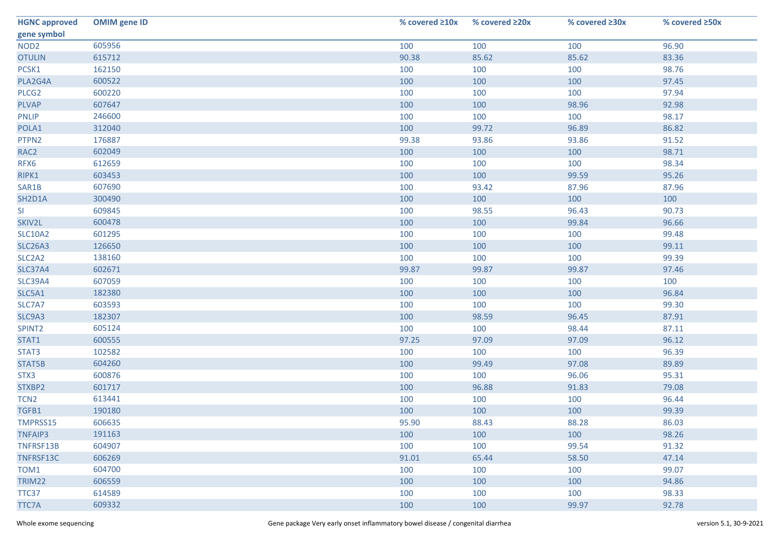| <b>HGNC approved</b>            | <b>OMIM</b> gene ID | % covered ≥10x | % covered ≥20x | % covered ≥30x | % covered ≥50x |
|---------------------------------|---------------------|----------------|----------------|----------------|----------------|
| gene symbol                     |                     |                |                |                |                |
| NOD <sub>2</sub>                | 605956              | 100            | 100            | 100            | 96.90          |
| <b>OTULIN</b>                   | 615712              | 90.38          | 85.62          | 85.62          | 83.36          |
| PCSK1                           | 162150              | 100            | 100            | 100            | 98.76          |
| PLA2G4A                         | 600522              | 100            | 100            | 100            | 97.45          |
| PLCG <sub>2</sub>               | 600220              | 100            | 100            | 100            | 97.94          |
| <b>PLVAP</b>                    | 607647              | 100            | 100            | 98.96          | 92.98          |
| <b>PNLIP</b>                    | 246600              | 100            | 100            | 100            | 98.17          |
| POLA1                           | 312040              | 100            | 99.72          | 96.89          | 86.82          |
| PTPN2                           | 176887              | 99.38          | 93.86          | 93.86          | 91.52          |
| RAC <sub>2</sub>                | 602049              | 100            | 100            | 100            | 98.71          |
| RFX6                            | 612659              | 100            | 100            | 100            | 98.34          |
| RIPK1                           | 603453              | 100            | 100            | 99.59          | 95.26          |
| SAR1B                           | 607690              | 100            | 93.42          | 87.96          | 87.96          |
| SH2D1A                          | 300490              | 100            | 100            | 100            | 100            |
| SI                              | 609845              | 100            | 98.55          | 96.43          | 90.73          |
| SKIV2L                          | 600478              | 100            | 100            | 99.84          | 96.66          |
| <b>SLC10A2</b>                  | 601295              | 100            | 100            | 100            | 99.48          |
| <b>SLC26A3</b>                  | 126650              | 100            | 100            | 100            | 99.11          |
| SLC <sub>2</sub> A <sub>2</sub> | 138160              | 100            | 100            | 100            | 99.39          |
| <b>SLC37A4</b>                  | 602671              | 99.87          | 99.87          | 99.87          | 97.46          |
| <b>SLC39A4</b>                  | 607059              | 100            | 100            | 100            | 100            |
| SLC5A1                          | 182380              | 100            | 100            | 100            | 96.84          |
| SLC7A7                          | 603593              | 100            | 100            | 100            | 99.30          |
| SLC9A3                          | 182307              | 100            | 98.59          | 96.45          | 87.91          |
| SPINT2                          | 605124              | 100            | 100            | 98.44          | 87.11          |
| STAT1                           | 600555              | 97.25          | 97.09          | 97.09          | 96.12          |
| STAT3                           | 102582              | 100            | 100            | 100            | 96.39          |
| STAT5B                          | 604260              | 100            | 99.49          | 97.08          | 89.89          |
| STX3                            | 600876              | 100            | 100            | 96.06          | 95.31          |
| STXBP2                          | 601717              | 100            | 96.88          | 91.83          | 79.08          |
| TCN <sub>2</sub>                | 613441              | 100            | 100            | 100            | 96.44          |
| TGFB1                           | 190180              | 100            | 100            | 100            | 99.39          |
| TMPRSS15                        | 606635              | 95.90          | 88.43          | 88.28          | 86.03          |
| <b>TNFAIP3</b>                  | 191163              | 100            | 100            | 100            | 98.26          |
| TNFRSF13B                       | 604907              | 100            | 100            | 99.54          | 91.32          |
| TNFRSF13C                       | 606269              | 91.01          | 65.44          | 58.50          | 47.14          |
| TOM <sub>1</sub>                | 604700              | 100            | 100            | 100            | 99.07          |
| TRIM22                          | 606559              | 100            | 100            | 100            | 94.86          |
| TTC37                           | 614589              | 100            | 100            | 100            | 98.33          |
| <b>TTC7A</b>                    | 609332              | 100            | 100            | 99.97          | 92.78          |